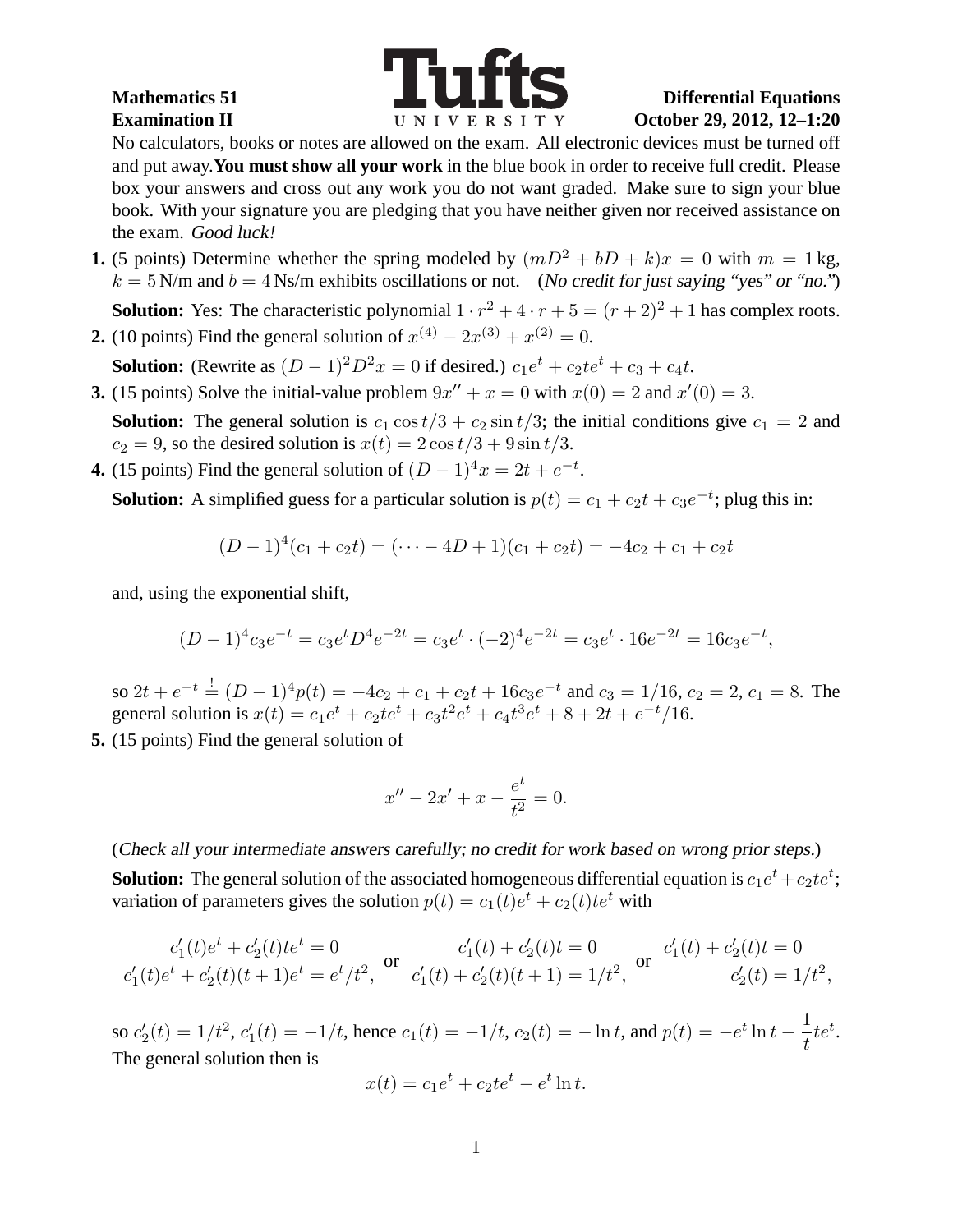

No calculators, books or notes are allowed on the exam. All electronic devices must be turned off and put away.**You must show all your work** in the blue book in order to receive full credit. Please box your answers and cross out any work you do not want graded. Make sure to sign your blue book. With your signature you are pledging that you have neither given nor received assistance on the exam. Good luck!

**1.** (5 points) Determine whether the spring modeled by  $(mD^2 + bD + k)x = 0$  with  $m = 1$  kg,  $k = 5$  N/m and  $b = 4$  Ns/m exhibits oscillations or not. (No credit for just saying "yes" or "no.")

**Solution:** Yes: The characteristic polynomial  $1 \cdot r^2 + 4 \cdot r + 5 = (r+2)^2 + 1$  has complex roots.

**2.** (10 points) Find the general solution of  $x^{(4)} - 2x^{(3)} + x^{(2)} = 0$ .

**Solution:** (Rewrite as  $(D-1)^2 D^2 x = 0$  if desired.)  $c_1 e^t + c_2 t e^t + c_3 + c_4 t$ .

- **3.** (15 points) Solve the initial-value problem  $9x'' + x = 0$  with  $x(0) = 2$  and  $x'(0) = 3$ .
- **Solution:** The general solution is  $c_1 \cos t/3 + c_2 \sin t/3$ ; the initial conditions give  $c_1 = 2$  and  $c_2 = 9$ , so the desired solution is  $x(t) = 2\cos(t/3) + 9\sin(t/3)$ .
- **4.** (15 points) Find the general solution of  $(D-1)^4x = 2t + e^{-t}$ .

**Solution:** A simplified guess for a particular solution is  $p(t) = c_1 + c_2t + c_3e^{-t}$ ; plug this in:

$$
(D-1)4(c1+c2t) = (... - 4D + 1)(c1+c2t) = -4c2 + c1 + c2t
$$

and, using the exponential shift,

$$
(D-1)^4 c_3 e^{-t} = c_3 e^t D^4 e^{-2t} = c_3 e^t \cdot (-2)^4 e^{-2t} = c_3 e^t \cdot 16 e^{-2t} = 16 c_3 e^{-t},
$$

so  $2t + e^{-t} = (D-1)^4 p(t) = -4c_2 + c_1 + c_2t + 16c_3e^{-t}$  and  $c_3 = 1/16$ ,  $c_2 = 2$ ,  $c_1 = 8$ . The general solution is  $x(t) = c_1 e^t + c_2 t e^t + c_3 t^2 e^t + c_4 t^3 e^t + 8 + 2t + e^{-t}/16$ .

**5.** (15 points) Find the general solution of

$$
x'' - 2x' + x - \frac{e^t}{t^2} = 0.
$$

(Check all your intermediate answers carefully; no credit for work based on wrong prior steps.) **Solution:** The general solution of the associated homogeneous differential equation is  $c_1e^t+c_2te^t;$ variation of parameters gives the solution  $p(t) = c_1(t)e^t + c_2(t)te^t$  with

$$
\begin{array}{ccc}c_1'(t)e^t+c_2'(t)te^t=0&c_1'(t)+c_2'(t)t=0&c_1'(t)+c_2'(t)t=0\\c_1'(t)e^t+c_2'(t)(t+1)e^t=e^t/t^2,&c_1'(t)+c_2'(t)(t+1)=1/t^2,&c_2'(t)=1/t^2,\end{array}
$$

so  $c_2'$  $y_2'(t) = 1/t^2, c'_1$  $I_1(t) = -1/t$ , hence  $c_1(t) = -1/t$ ,  $c_2(t) = -\ln t$ , and  $p(t) = -e^t \ln t - \frac{1}{t}$ t  $te^t$ . The general solution then is

$$
x(t) = c_1 e^t + c_2 t e^t - e^t \ln t.
$$